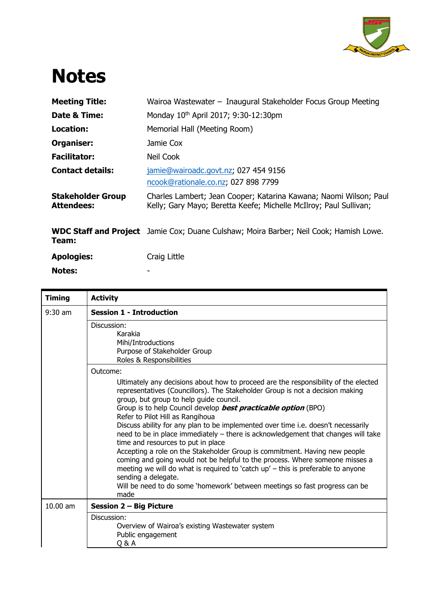

## **Notes**

**Notes:** -

| <b>Meeting Title:</b>                         | Wairoa Wastewater - Inaugural Stakeholder Focus Group Meeting                                                                          |
|-----------------------------------------------|----------------------------------------------------------------------------------------------------------------------------------------|
| Date & Time:                                  | Monday 10th April 2017; 9:30-12:30pm                                                                                                   |
| <b>Location:</b>                              | Memorial Hall (Meeting Room)                                                                                                           |
| Organiser:                                    | Jamie Cox                                                                                                                              |
| <b>Facilitator:</b>                           | Neil Cook                                                                                                                              |
| <b>Contact details:</b>                       | jamie@wairoadc.govt.nz; 027 454 9156<br>ncook@rationale.co.nz, 027 898 7799                                                            |
| <b>Stakeholder Group</b><br><b>Attendees:</b> | Charles Lambert; Jean Cooper; Katarina Kawana; Naomi Wilson; Paul<br>Kelly; Gary Mayo; Beretta Keefe; Michelle McIlroy; Paul Sullivan; |
| Team:                                         | <b>WDC Staff and Project</b> Jamie Cox; Duane Culshaw; Moira Barber; Neil Cook; Hamish Lowe.                                           |
| <b>Apologies:</b>                             | Craig Little                                                                                                                           |

| <b>Timing</b> | <b>Activity</b>                                                                                                                                                                                                                                                                                                                                                                                                                                                                                                                                                                                                                                                                                                                                                                                                                                                                                                          |
|---------------|--------------------------------------------------------------------------------------------------------------------------------------------------------------------------------------------------------------------------------------------------------------------------------------------------------------------------------------------------------------------------------------------------------------------------------------------------------------------------------------------------------------------------------------------------------------------------------------------------------------------------------------------------------------------------------------------------------------------------------------------------------------------------------------------------------------------------------------------------------------------------------------------------------------------------|
| $9:30$ am     | <b>Session 1 - Introduction</b>                                                                                                                                                                                                                                                                                                                                                                                                                                                                                                                                                                                                                                                                                                                                                                                                                                                                                          |
|               | Discussion:<br>Karakia<br>Mihi/Introductions<br>Purpose of Stakeholder Group                                                                                                                                                                                                                                                                                                                                                                                                                                                                                                                                                                                                                                                                                                                                                                                                                                             |
|               | Roles & Responsibilities                                                                                                                                                                                                                                                                                                                                                                                                                                                                                                                                                                                                                                                                                                                                                                                                                                                                                                 |
|               | Outcome:<br>Ultimately any decisions about how to proceed are the responsibility of the elected<br>representatives (Councillors). The Stakeholder Group is not a decision making<br>group, but group to help guide council.<br>Group is to help Council develop <b>best practicable option</b> (BPO)<br>Refer to Pilot Hill as Rangihoua<br>Discuss ability for any plan to be implemented over time i.e. doesn't necessarily<br>need to be in place immediately - there is acknowledgement that changes will take<br>time and resources to put in place<br>Accepting a role on the Stakeholder Group is commitment. Having new people<br>coming and going would not be helpful to the process. Where someone misses a<br>meeting we will do what is required to 'catch up' - this is preferable to anyone<br>sending a delegate.<br>Will be need to do some 'homework' between meetings so fast progress can be<br>made |
| 10.00 am      | <b>Session 2 - Big Picture</b>                                                                                                                                                                                                                                                                                                                                                                                                                                                                                                                                                                                                                                                                                                                                                                                                                                                                                           |
|               | Discussion:<br>Overview of Wairoa's existing Wastewater system<br>Public engagement<br>Q&A                                                                                                                                                                                                                                                                                                                                                                                                                                                                                                                                                                                                                                                                                                                                                                                                                               |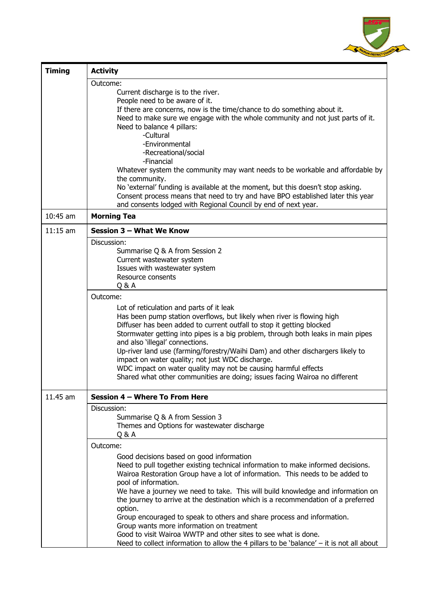

| <b>Timing</b> | <b>Activity</b>                                                                                                                                                    |
|---------------|--------------------------------------------------------------------------------------------------------------------------------------------------------------------|
|               | Outcome:                                                                                                                                                           |
|               | Current discharge is to the river.                                                                                                                                 |
|               | People need to be aware of it.<br>If there are concerns, now is the time/chance to do something about it.                                                          |
|               | Need to make sure we engage with the whole community and not just parts of it.                                                                                     |
|               | Need to balance 4 pillars:                                                                                                                                         |
|               | -Cultural                                                                                                                                                          |
|               | -Environmental<br>-Recreational/social                                                                                                                             |
|               | -Financial                                                                                                                                                         |
|               | Whatever system the community may want needs to be workable and affordable by                                                                                      |
|               | the community.                                                                                                                                                     |
|               | No 'external' funding is available at the moment, but this doesn't stop asking.<br>Consent process means that need to try and have BPO established later this year |
|               | and consents lodged with Regional Council by end of next year.                                                                                                     |
| $10:45$ am    | <b>Morning Tea</b>                                                                                                                                                 |
| $11:15$ am    | Session 3 - What We Know                                                                                                                                           |
|               | Discussion:                                                                                                                                                        |
|               | Summarise Q & A from Session 2<br>Current wastewater system                                                                                                        |
|               | Issues with wastewater system                                                                                                                                      |
|               | Resource consents                                                                                                                                                  |
|               | Q&A                                                                                                                                                                |
|               | Outcome:                                                                                                                                                           |
|               | Lot of reticulation and parts of it leak<br>Has been pump station overflows, but likely when river is flowing high                                                 |
|               | Diffuser has been added to current outfall to stop it getting blocked                                                                                              |
|               | Stormwater getting into pipes is a big problem, through both leaks in main pipes                                                                                   |
|               | and also 'illegal' connections.                                                                                                                                    |
|               | Up-river land use (farming/forestry/Waihi Dam) and other dischargers likely to<br>impact on water quality; not just WDC discharge.                                 |
|               | WDC impact on water quality may not be causing harmful effects                                                                                                     |
|               | Shared what other communities are doing; issues facing Wairoa no different                                                                                         |
| 11.45 am      | Session 4 - Where To From Here                                                                                                                                     |
|               | Discussion:                                                                                                                                                        |
|               | Summarise Q & A from Session 3                                                                                                                                     |
|               | Themes and Options for wastewater discharge                                                                                                                        |
|               | Q&A                                                                                                                                                                |
|               | Outcome:                                                                                                                                                           |
|               | Good decisions based on good information<br>Need to pull together existing technical information to make informed decisions.                                       |
|               | Wairoa Restoration Group have a lot of information. This needs to be added to                                                                                      |
|               | pool of information.                                                                                                                                               |
|               | We have a journey we need to take. This will build knowledge and information on                                                                                    |
|               | the journey to arrive at the destination which is a recommendation of a preferred<br>option.                                                                       |
|               | Group encouraged to speak to others and share process and information.                                                                                             |
|               | Group wants more information on treatment                                                                                                                          |
|               | Good to visit Wairoa WWTP and other sites to see what is done.<br>Need to collect information to allow the 4 pillars to be 'balance' – it is not all about         |
|               |                                                                                                                                                                    |